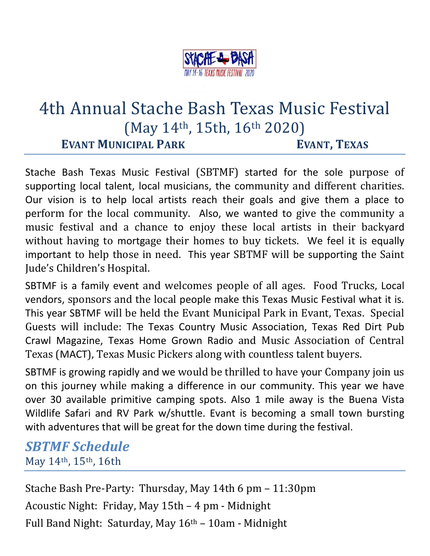

# 4th Annual Stache Bash Texas Music Festival (May 14th, 15th, 16th 2020) **EVANT MUNICIPAL PARK EVANT, TEXAS**

Stache Bash Texas Music Festival (SBTMF) started for the sole purpose of supporting local talent, local musicians, the community and different charities. Our vision is to help local artists reach their goals and give them a place to perform for the local community. Also, we wanted to give the community a music festival and a chance to enjoy these local artists in their backyard without having to mortgage their homes to buy tickets. We feel it is equally important to help those in need. This year SBTMF will be supporting the Saint Jude's Children's Hospital.

SBTMF is a family event and welcomes people of all ages. Food Trucks, Local vendors, sponsors and the local people make this Texas Music Festival what it is. This year SBTMF will be held the Evant Municipal Park in Evant, Texas. Special Guests will include: The Texas Country Music Association, Texas Red Dirt Pub Crawl Magazine, Texas Home Grown Radio and Music Association of Central Texas (MACT), Texas Music Pickers along with countless talent buyers.

SBTMF is growing rapidly and we would be thrilled to have your Company join us on this journey while making a difference in our community. This year we have over 30 available primitive camping spots. Also 1 mile away is the Buena Vista Wildlife Safari and RV Park w/shuttle. Evant is becoming a small town bursting with adventures that will be great for the down time during the festival.

*SBTMF Schedule* May 14th, 15th, 16th

Stache Bash Pre-Party: Thursday, May 14th 6 pm – 11:30pm Acoustic Night: Friday, May 15th – 4 pm - Midnight Full Band Night: Saturday, May  $16<sup>th</sup> - 10$ am - Midnight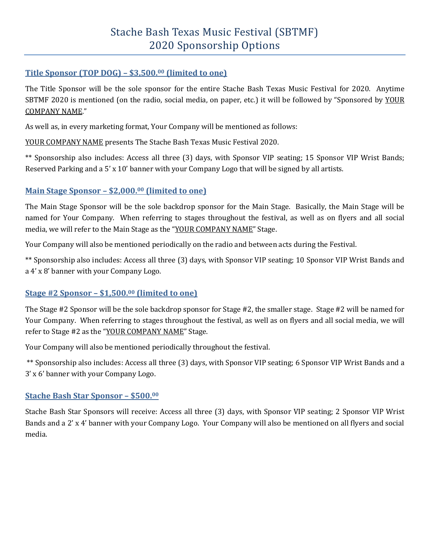#### **Title Sponsor (TOP DOG) – \$3,500.<sup>00</sup> (limited to one)**

The Title Sponsor will be the sole sponsor for the entire Stache Bash Texas Music Festival for 2020. Anytime SBTMF 2020 is mentioned (on the radio, social media, on paper, etc.) it will be followed by "Sponsored by YOUR COMPANY NAME."

As well as, in every marketing format, Your Company will be mentioned as follows:

YOUR COMPANY NAME presents The Stache Bash Texas Music Festival 2020.

\*\* Sponsorship also includes: Access all three (3) days, with Sponsor VIP seating; 15 Sponsor VIP Wrist Bands; Reserved Parking and a 5' x 10' banner with your Company Logo that will be signed by all artists.

#### **Main Stage Sponsor – \$2,000.<sup>00</sup> (limited to one)**

The Main Stage Sponsor will be the sole backdrop sponsor for the Main Stage. Basically, the Main Stage will be named for Your Company. When referring to stages throughout the festival, as well as on flyers and all social media, we will refer to the Main Stage as the "YOUR COMPANY NAME" Stage.

Your Company will also be mentioned periodically on the radio and between acts during the Festival.

\*\* Sponsorship also includes: Access all three (3) days, with Sponsor VIP seating; 10 Sponsor VIP Wrist Bands and a 4' x 8' banner with your Company Logo.

#### **Stage #2 Sponsor – \$1,500.<sup>00</sup> (limited to one)**

The Stage #2 Sponsor will be the sole backdrop sponsor for Stage #2, the smaller stage. Stage #2 will be named for Your Company. When referring to stages throughout the festival, as well as on flyers and all social media, we will refer to Stage #2 as the "YOUR COMPANY NAME" Stage.

Your Company will also be mentioned periodically throughout the festival.

\*\* Sponsorship also includes: Access all three (3) days, with Sponsor VIP seating; 6 Sponsor VIP Wrist Bands and a 3' x 6' banner with your Company Logo.

#### **Stache Bash Star Sponsor – \$500.<sup>00</sup>**

Stache Bash Star Sponsors will receive: Access all three (3) days, with Sponsor VIP seating; 2 Sponsor VIP Wrist Bands and a 2' x 4' banner with your Company Logo. Your Company will also be mentioned on all flyers and social media.